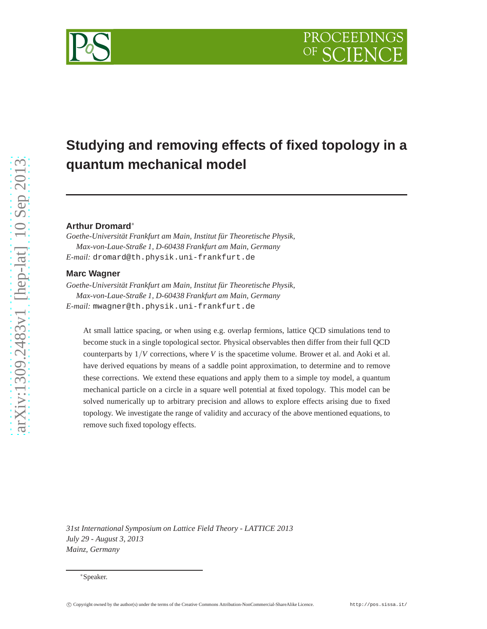# **Studying and removing effects of fixed topology in a quantum mechanical model**

# **Arthur Dromard**<sup>∗</sup>

*Goethe-Universität Frankfurt am Main, Institut für Theoretische Physik, Max-von-Laue-Straße 1, D-60438 Frankfurt am Main, Germany E-mail:* dromard@th.physik.uni-frankfurt.de

# **Marc Wagner**

*Goethe-Universität Frankfurt am Main, Institut für Theoretische Physik, Max-von-Laue-Straße 1, D-60438 Frankfurt am Main, Germany E-mail:* mwagner@th.physik.uni-frankfurt.de

At small lattice spacing, or when using e.g. overlap fermions, lattice QCD simulations tend to become stuck in a single topological sector. Physical observables then differ from their full QCD counterparts by  $1/V$  corrections, where *V* is the spacetime volume. Brower et al. and Aoki et al. have derived equations by means of a saddle point approximation, to determine and to remove these corrections. We extend these equations and apply them to a simple toy model, a quantum mechanical particle on a circle in a square well potential at fixed topology. This model can be solved numerically up to arbitrary precision and allows to explore effects arising due to fixed topology. We investigate the range of validity and accuracy of the above mentioned equations, to remove such fixed topology effects.

*31st International Symposium on Lattice Field Theory - LATTICE 2013 July 29 - August 3, 2013 Mainz, Germany*



<sup>∗</sup>Speaker.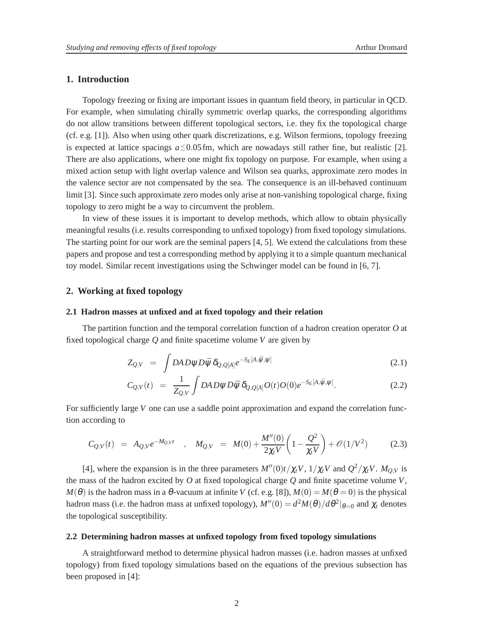# **1. Introduction**

Topology freezing or fixing are important issues in quantum field theory, in particular in QCD. For example, when simulating chirally symmetric overlap quarks, the corresponding algorithms do not allow transitions between different topological sectors, i.e. they fix the topological charge (cf. e.g. [1]). Also when using other quark discretizations, e.g. Wilson fermions, topology freezing is expected at lattice spacings  $a \leq 0.05$  fm, which are nowadays still rather fine, but realistic [2]. There are also applications, where one might fix topology on purpose. For example, when using a mixed action setup with light overlap valence and Wilson sea quarks, approximate zero modes in the valence sector are not compensated by the sea. The consequence is an ill-behaved continuum limit [3]. Since such approximate zero modes only arise at non-vanishing topological charge, fixing topology to zero might be a way to circumvent the problem.

In view of these issues it is important to develop methods, which allow to obtain physically meaningful results (i.e. results corresponding to unfixed topology) from fixed topology simulations. The starting point for our work are the seminal papers [4, 5]. We extend the calculations from these papers and propose and test a corresponding method by applying it to a simple quantum mechanical toy model. Similar recent investigations using the Schwinger model can be found in [6, 7].

#### **2. Working at fixed topology**

#### **2.1 Hadron masses at unfixed and at fixed topology and their relation**

The partition function and the temporal correlation function of a hadron creation operator *O* at fixed topological charge *Q* and finite spacetime volume *V* are given by

$$
Z_{Q,V} = \int DA D \psi D \bar{\psi} \, \delta_{Q,Q[A]} e^{-S_E[A,\bar{\psi},\psi]} \tag{2.1}
$$

$$
C_{Q,V}(t) = \frac{1}{Z_{Q,V}} \int DA D \psi D \bar{\psi} \, \delta_{Q,Q[A]} O(t) O(0) e^{-S_E[A,\bar{\psi},\psi]}.
$$
 (2.2)

For sufficiently large *V* one can use a saddle point approximation and expand the correlation function according to

$$
C_{Q,V}(t) = A_{Q,V}e^{-M_{Q,V}t} \quad , \quad M_{Q,V} = M(0) + \frac{M''(0)}{2\chi_t V} \left(1 - \frac{Q^2}{\chi_t V}\right) + \mathcal{O}(1/V^2) \tag{2.3}
$$

[4], where the expansion is in the three parameters  $M''(0)t/\chi_t V$ ,  $1/\chi_t V$  and  $Q^2/\chi_t V$ .  $M_{Q,V}$  is the mass of the hadron excited by *O* at fixed topological charge *Q* and finite spacetime volume *V*,  $M(\theta)$  is the hadron mass in a  $\theta$ -vacuum at infinite *V* (cf. e.g. [8]),  $M(0) = M(\theta = 0)$  is the physical hadron mass (i.e. the hadron mass at unfixed topology),  $M''(0) = d^2M(\theta)/d\theta^2|_{\theta=0}$  and  $\chi_t$  denotes the topological susceptibility.

## **2.2 Determining hadron masses at unfixed topology from fixed topology simulations**

A straightforward method to determine physical hadron masses (i.e. hadron masses at unfixed topology) from fixed topology simulations based on the equations of the previous subsection has been proposed in [4]: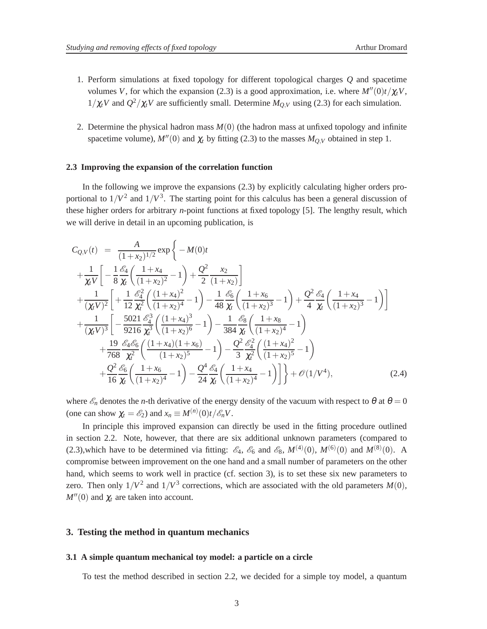- 1. Perform simulations at fixed topology for different topological charges *Q* and spacetime volumes *V*, for which the expansion (2.3) is a good approximation, i.e. where  $M''(0)t/\chi_t V$ ,  $1/\chi_t V$  and  $Q^2/\chi_t V$  are sufficiently small. Determine  $M_{Q,V}$  using (2.3) for each simulation.
- 2. Determine the physical hadron mass  $M(0)$  (the hadron mass at unfixed topology and infinite spacetime volume),  $M''(0)$  and  $\chi_t$  by fitting (2.3) to the masses  $M_{Q,V}$  obtained in step 1.

#### **2.3 Improving the expansion of the correlation function**

In the following we improve the expansions (2.3) by explicitly calculating higher orders proportional to  $1/V^2$  and  $1/V^3$ . The starting point for this calculus has been a general discussion of these higher orders for arbitrary *n*-point functions at fixed topology [5]. The lengthy result, which we will derive in detail in an upcoming publication, is

$$
C_{Q,V}(t) = \frac{A}{(1+x_2)^{1/2}} \exp \left\{-M(0)t + \frac{1}{\lambda V} \left[ -\frac{1}{8} \frac{\mathcal{E}_4}{\lambda t} \left( \frac{1+x_4}{(1+x_2)^2} - 1 \right) + \frac{Q^2}{2} \frac{x_2}{(1+x_2)} \right] + \frac{1}{(\lambda V)^2} \left[ +\frac{1}{12} \frac{\mathcal{E}_4^2}{\lambda t^2} \left( \frac{(1+x_4)^2}{(1+x_2)^4} - 1 \right) - \frac{1}{48} \frac{\mathcal{E}_6}{\lambda t} \left( \frac{1+x_6}{(1+x_2)^3} - 1 \right) + \frac{Q^2}{4} \frac{\mathcal{E}_4}{\lambda t} \left( \frac{1+x_4}{(1+x_2)^3} - 1 \right) \right] + \frac{1}{(\lambda V)^3} \left[ -\frac{5021}{9216} \frac{\mathcal{E}_4^3}{\lambda t^3} \left( \frac{(1+x_4)^3}{(1+x_2)^6} - 1 \right) - \frac{1}{384} \frac{\mathcal{E}_8}{\lambda t} \left( \frac{1+x_8}{(1+x_2)^4} - 1 \right) + \frac{19}{768} \frac{\mathcal{E}_4 \mathcal{E}_6}{\lambda t^2} \left( \frac{(1+x_4)(1+x_6)}{(1+x_2)^5} - 1 \right) - \frac{Q^2}{3} \frac{\mathcal{E}_4^2}{\lambda t^2} \left( \frac{(1+x_4)^2}{(1+x_2)^5} - 1 \right) + \frac{Q^2}{16} \frac{\mathcal{E}_6}{\lambda t} \left( \frac{1+x_6}{(1+x_2)^4} - 1 \right) - \frac{Q^4}{24} \frac{\mathcal{E}_4}{\lambda t} \left( \frac{1+x_4}{(1+x_2)^4} - 1 \right) \right] + \mathcal{O}(1/V^4), \tag{2.4}
$$

where  $\mathscr{E}_n$  denotes the *n*-th derivative of the energy density of the vacuum with respect to  $\theta$  at  $\theta = 0$ (one can show  $\chi_t = \mathscr{E}_2$ ) and  $x_n \equiv M^{(n)}(0)t / \mathscr{E}_n V$ .

In principle this improved expansion can directly be used in the fitting procedure outlined in section 2.2. Note, however, that there are six additional unknown parameters (compared to (2.3), which have to be determined via fitting:  $\mathcal{E}_4$ ,  $\mathcal{E}_6$  and  $\mathcal{E}_8$ ,  $M^{(4)}(0)$ ,  $M^{(6)}(0)$  and  $M^{(8)}(0)$ . A compromise between improvement on the one hand and a small number of parameters on the other hand, which seems to work well in practice (cf. section 3), is to set these six new parameters to zero. Then only  $1/V^2$  and  $1/V^3$  corrections, which are associated with the old parameters  $M(0)$ ,  $M''(0)$  and  $\chi_t$  are taken into account.

## **3. Testing the method in quantum mechanics**

#### **3.1 A simple quantum mechanical toy model: a particle on a circle**

To test the method described in section 2.2, we decided for a simple toy model, a quantum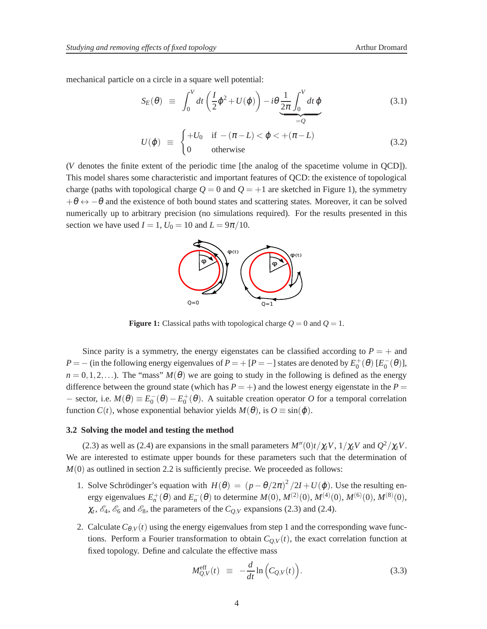mechanical particle on a circle in a square well potential:

$$
S_E(\theta) \equiv \int_0^V dt \left(\frac{I}{2}\dot{\phi}^2 + U(\phi)\right) - i\theta \underbrace{\frac{1}{2\pi} \int_0^V dt \dot{\phi}}_{=Q} \tag{3.1}
$$

$$
U(\varphi) \equiv \begin{cases} +U_0 & \text{if } -(\pi - L) < \varphi < +(\pi - L) \\ 0 & \text{otherwise} \end{cases} \tag{3.2}
$$

(*V* denotes the finite extent of the periodic time [the analog of the spacetime volume in QCD]). This model shares some characteristic and important features of QCD: the existence of topological charge (paths with topological charge  $Q = 0$  and  $Q = +1$  are sketched in Figure 1), the symmetry  $+\theta \leftrightarrow -\theta$  and the existence of both bound states and scattering states. Moreover, it can be solved numerically up to arbitrary precision (no simulations required). For the results presented in this section we have used  $I = 1$ ,  $U_0 = 10$  and  $L = 9\pi/10$ .



**Figure 1:** Classical paths with topological charge  $Q = 0$  and  $Q = 1$ .

Since parity is a symmetry, the energy eigenstates can be classified according to  $P = +$  and *P* = − (in the following energy eigenvalues of *P* = + [*P* = −] states are denoted by  $E_0^+ (\theta)$  [ $E_0^- (\theta)$ ],  $n = 0, 1, 2, \ldots$ ). The "mass"  $M(\theta)$  we are going to study in the following is defined as the energy difference between the ground state (which has  $P = +$ ) and the lowest energy eigenstate in the  $P =$ − sector, i.e.  $M(\theta) \equiv E_0^-(\theta) - E_0^+(\theta)$ . A suitable creation operator *O* for a temporal correlation function  $C(t)$ , whose exponential behavior yields  $M(\theta)$ , is  $O \equiv \sin(\phi)$ .

#### **3.2 Solving the model and testing the method**

(2.3) as well as (2.4) are expansions in the small parameters  $M''(0)t/\chi_t V$ ,  $1/\chi_t V$  and  $Q^2/\chi_t V$ . We are interested to estimate upper bounds for these parameters such that the determination of  $M(0)$  as outlined in section 2.2 is sufficiently precise. We proceeded as follows:

- 1. Solve Schrödinger's equation with  $H(\theta) = (p \theta/2\pi)^2/2I + U(\phi)$ . Use the resulting energy eigenvalues  $E_n^+(\theta)$  and  $E_n^-(\theta)$  to determine  $M(0), M^{(2)}(0), M^{(4)}(0), M^{(6)}(0), M^{(8)}(0)$ ,  $\chi_t$ ,  $\mathcal{E}_4$ ,  $\mathcal{E}_6$  and  $\mathcal{E}_8$ , the parameters of the  $C_{Q,V}$  expansions (2.3) and (2.4).
- 2. Calculate  $C_{\theta,V}(t)$  using the energy eigenvalues from step 1 and the corresponding wave functions. Perform a Fourier transformation to obtain  $C_{Q,V}(t)$ , the exact correlation function at fixed topology. Define and calculate the effective mass

$$
M_{Q,V}^{\text{eff}}(t) \equiv -\frac{d}{dt} \ln \left( C_{Q,V}(t) \right). \tag{3.3}
$$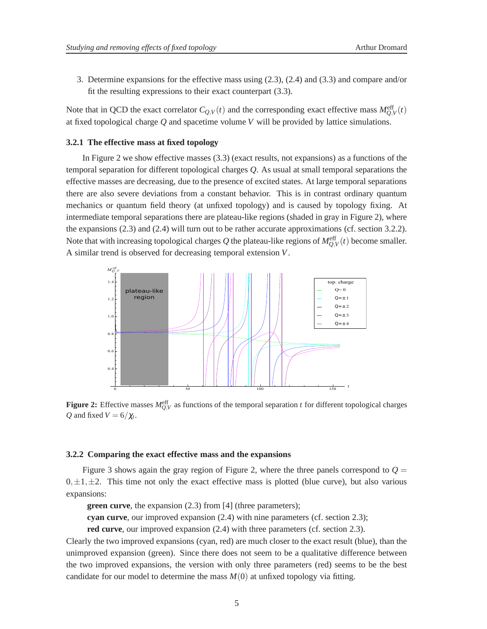3. Determine expansions for the effective mass using (2.3), (2.4) and (3.3) and compare and/or fit the resulting expressions to their exact counterpart (3.3).

Note that in QCD the exact correlator  $C_{Q,V}(t)$  and the corresponding exact effective mass  $M_{Q,V}^{\text{eff}}(t)$ at fixed topological charge *Q* and spacetime volume *V* will be provided by lattice simulations.

#### **3.2.1 The effective mass at fixed topology**

In Figure 2 we show effective masses (3.3) (exact results, not expansions) as a functions of the temporal separation for different topological charges *Q*. As usual at small temporal separations the effective masses are decreasing, due to the presence of excited states. At large temporal separations there are also severe deviations from a constant behavior. This is in contrast ordinary quantum mechanics or quantum field theory (at unfixed topology) and is caused by topology fixing. At intermediate temporal separations there are plateau-like regions (shaded in gray in Figure 2), where the expansions (2.3) and (2.4) will turn out to be rather accurate approximations (cf. section 3.2.2). Note that with increasing topological charges  $Q$  the plateau-like regions of  $M_{Q,V}^{\text{eff}}(t)$  become smaller. A similar trend is observed for decreasing temporal extension *V*.



**Figure 2:** Effective masses  $M_{Q,V}^{\text{eff}}$  as functions of the temporal separation *t* for different topological charges *Q* and fixed  $V = 6/\chi_t$ .

#### **3.2.2 Comparing the exact effective mass and the expansions**

Figure 3 shows again the gray region of Figure 2, where the three panels correspond to  $Q =$  $0, \pm 1, \pm 2$ . This time not only the exact effective mass is plotted (blue curve), but also various expansions:

**green curve**, the expansion (2.3) from [4] (three parameters);

**cyan curve**, our improved expansion (2.4) with nine parameters (cf. section 2.3);

**red curve**, our improved expansion  $(2.4)$  with three parameters (cf. section 2.3).

Clearly the two improved expansions (cyan, red) are much closer to the exact result (blue), than the unimproved expansion (green). Since there does not seem to be a qualitative difference between the two improved expansions, the version with only three parameters (red) seems to be the best candidate for our model to determine the mass  $M(0)$  at unfixed topology via fitting.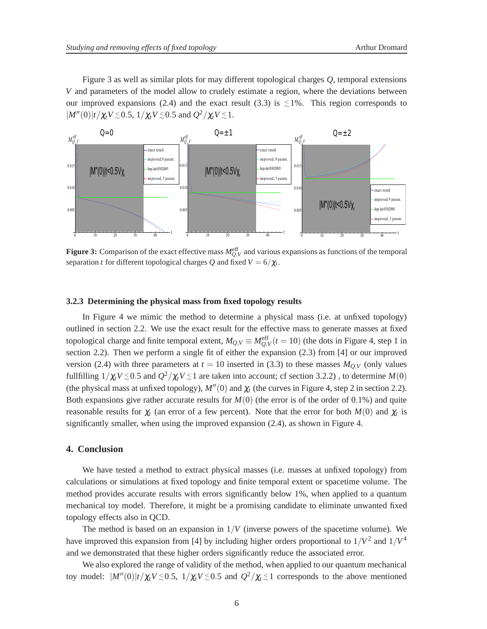Figure 3 as well as similar plots for may different topological charges *Q*, temporal extensions *V* and parameters of the model allow to crudely estimate a region, where the deviations between our improved expansions (2.4) and the exact result (3.3) is  $\leq 1\%$ . This region corresponds to  $|M''(0)|t/\chi_t V \le 0.5, 1/\chi_t V \le 0.5$  and  $Q^2/\chi_t V \le 1$ .



**Figure 3:** Comparison of the exact effective mass  $M_{Q,V}^{\text{eff}}$  and various expansions as functions of the temporal separation *t* for different topological charges Q and fixed  $V = 6/\chi_t$ .

#### **3.2.3 Determining the physical mass from fixed topology results**

In Figure 4 we mimic the method to determine a physical mass (i.e. at unfixed topology) outlined in section 2.2. We use the exact result for the effective mass to generate masses at fixed topological charge and finite temporal extent,  $M_{Q,V} \equiv M_{Q,V}^{\text{eff}}(t=10)$  (the dots in Figure 4, step 1 in section 2.2). Then we perform a single fit of either the expansion (2.3) from [4] or our improved version (2.4) with three parameters at  $t = 10$  inserted in (3.3) to these masses  $M_{Q,V}$  (only values fullfilling  $1/\chi_t V \lesssim 0.5$  and  $Q^2/\chi_t V \lesssim 1$  are taken into account; cf section 3.2.2), to determine  $M(0)$ (the physical mass at unfixed topology),  $M''(0)$  and  $\chi_t$  (the curves in Figure 4, step 2 in section 2.2). Both expansions give rather accurate results for *M*(0) (the error is of the order of 0.1%) and quite reasonable results for  $\chi_t$  (an error of a few percent). Note that the error for both  $M(0)$  and  $\chi_t$  is significantly smaller, when using the improved expansion (2.4), as shown in Figure 4.

## **4. Conclusion**

We have tested a method to extract physical masses (i.e. masses at unfixed topology) from calculations or simulations at fixed topology and finite temporal extent or spacetime volume. The method provides accurate results with errors significantly below 1%, when applied to a quantum mechanical toy model. Therefore, it might be a promising candidate to eliminate unwanted fixed topology effects also in QCD.

The method is based on an expansion in  $1/V$  (inverse powers of the spacetime volume). We have improved this expansion from [4] by including higher orders proportional to  $1/V^2$  and  $1/V^4$ and we demonstrated that these higher orders significantly reduce the associated error.

We also explored the range of validity of the method, when applied to our quantum mechanical toy model:  $|M''(0)|t/\chi_t V \le 0.5$ ,  $1/\chi_t V \le 0.5$  and  $Q^2/\chi_t \le 1$  corresponds to the above mentioned